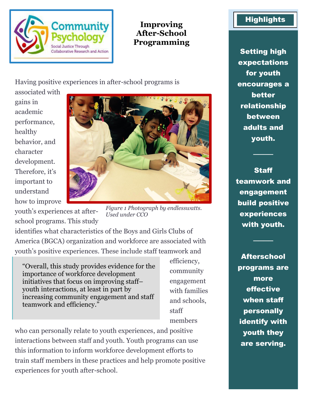

**Improving After-School Programming**

Having positive experiences in after-school programs is

associated with gains in academic performance, healthy behavior, and character development. Therefore, it's important to understand how to improve



youth's experiences at afterschool programs. This study

*Figure 1 Photograph by endlesswatts. Used under CCO*

identifies what characteristics of the Boys and Girls Clubs of America (BGCA) organization and workforce are associated with youth's positive experiences. These include staff teamwork and

"Overall, this study provides evidence for the importance of workforce development initiatives that focus on improving staff– youth interactions, at least in part by increasing community engagement and staff teamwork and efficiency."

efficiency, community engagement with families and schools, staff members

who can personally relate to youth experiences, and positive interactions between staff and youth. Youth programs can use this information to inform workforce development efforts to train staff members in these practices and help promote positive experiences for youth after-school.

## **Highlights**

Setting high expectations for youth encourages a better relationship between adults and youth.

**Staff** teamwork and engagement build positive experiences with youth.

────

────

**Afterschool** programs are more effective when staff personally identify with youth they are serving.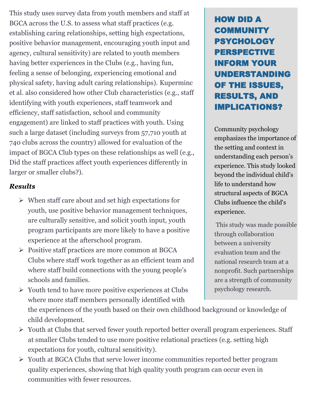This study uses survey data from youth members and staff at BGCA across the U.S. to assess what staff practices (e.g. establishing caring relationships, setting high expectations, positive behavior management, encouraging youth input and agency, cultural sensitivity) are related to youth members having better experiences in the Clubs (e.g., having fun, feeling a sense of belonging, experiencing emotional and physical safety, having adult caring relationships). Kuperminc et al. also considered how other Club characteristics (e.g., staff identifying with youth experiences, staff teamwork and efficiency, staff satisfaction, school and community engagement) are linked to staff practices with youth. Using such a large dataset (including surveys from 57,710 youth at 740 clubs across the country) allowed for evaluation of the impact of BGCA Club types on these relationships as well (e.g., Did the staff practices affect youth experiences differently in larger or smaller clubs?).

## *Results*

- ➢ When staff care about and set high expectations for youth, use positive behavior management techniques, are culturally sensitive, and solicit youth input, youth program participants are more likely to have a positive experience at the afterschool program.
- ➢ Positive staff practices are more common at BGCA Clubs where staff work together as an efficient team and where staff build connections with the young people's schools and families.
- ➢ Youth tend to have more positive experiences at Clubs where more staff members personally identified with

## HOW DID A COMMUNITY PSYCHOLOGY PERSPECTIVE INFORM YOUR UNDERSTANDING OF THE ISSUES, RESULTS, AND IMPLICATIONS?

Community psychology emphasizes the importance of the setting and context in understanding each person's experience. This study looked beyond the individual child's life to understand how structural aspects of BGCA Clubs influence the child's experience.

This study was made possible through collaboration between a university evaluation team and the national research team at a nonprofit. Such partnerships are a strength of community psychology research.

the experiences of the youth based on their own childhood background or knowledge of child development.

- ➢ Youth at Clubs that served fewer youth reported better overall program experiences. Staff at smaller Clubs tended to use more positive relational practices (e.g. setting high expectations for youth, cultural sensitivity).
- ➢ Youth at BGCA Clubs that serve lower income communities reported better program quality experiences, showing that high quality youth program can occur even in communities with fewer resources.